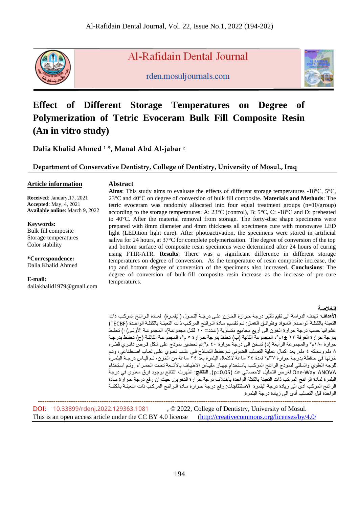

Al-Rafidain Dental Journal

rden.mosuljournals.com



# **Effect of Different Storage Temperatures on Degree of Polymerization of Tetric Evoceram Bulk Fill Composite Resin (An in vitro study)**

**Dalia Khalid Ahmed <sup>1</sup> \*, Manal Abd Al-jabar <sup>2</sup>**

**Department of Conservative Dentistry, College of Dentistry, University of Mosul., Iraq**

# **Article information**

 **Abstract**

 **Received**: January,17, 2021  **Accepted**: May, 4, 2021  **Available online**: March 9, 2022

**Keywords:** Bulk fill composite Storage temperatures Color stability

**\*Correspondence:** Dalia Khalid Ahmed

**E-mail:** daliakhalid1979@gmail.com

**Aims**: This study aims to evaluate the effects of different storage temperatures -18°C, 5°C, 23°C and 40°C on degree of conversion of bulk fill composite. **Materials and Methods**: The tetric evoceram was randomly allocated into four equal treatment groups  $(n=10/$ group) according to the storage temperatures: A: 23°C (control), B: 5°C, C: -18°C and D: preheated to 40°C. After the material removal from storage. The forty-disc shape specimens were prepared with 8mm diameter and 4mm thickness all specimens cure with monowave LED light (LEDition light cure). After photoactivation, the specimens were stored in artificial saliva for 24 hours, at 37°C for complete polymerization. The degree of conversion of the top and bottom surface of composite resin specimens were determined after 24 hours of curing using FTIR-ATR. **Results**: There was a significant difference in different storage temperatures on degree of conversion. As the temperature of resin composite increase, the top and bottom degree of conversion of the specimens also increased. **Conclusions**: The degree of conversion of bulk-fill composite resin increase as the increase of pre-cure temperatures.

# **الخالصة**

**الأهداف**: تهدف الدراسة الى تقيم تأثير درجة حرارة الخزن على درجة التحول (البلمرة) لمـادة الـراتنج المركب ذات التعبئة بالكتلــة الواحـدة. ا**لمـواد وطرائـق العمـل**: تـم تقسيم مـادة الـراتنج المركـب ذات التعبئــة بالكتلــة الواحـدة (TECBF) عشوائيا حسب درجة حرارة الخزن الى أربع مجاميع متساوية (عدد= ١٠ لكل مجموعـة)، المجموعـة الأولـى) ا) تحفـظ بدرجة حرارة الغرفة ٢٣ ±١م°، المجموعة الثانية (ب) تحفظ بدرجة حرارة ٥ م°، المجموعة الثالثـة (ج) تحفـظ بدرجـة حرارة -١٨م° والمجموعة الرابعة (د) تسخن الى درجة حرارة ٤٠ م° تم تحضير نموذج على شكل قرصٌ دائري قطره ٨ ملم وسمكه ٤ ملم. بعد اكمال عملية التصلب الضوئي تـم حفظ النصادج فـي علـب تحـوي علـي لعـاب اصـطناعي، وتـم خزنها في حافظة بدرجة حرارة ٣٧م° لمدة ٢٤ ساعة لاكتمال البلمرة بعد ٢٤ ساعة من الخزن، تم قيـاس درجـة البلمـرة للوجه العلوي والسفلي لنموذج الراتنج المركب باستخدام جهاز مقياس الاطياف بالأشعة تحت الحمراء .وتم استخدام one-Way ANOVA لغرض التحليل الاحصائي عند (p=0.05). ا**لنتائج**: اظهرت النتائج بوجود فرق معنوي في درجة البلمر ة لمادة الراتنج المركب ذات التعبئة بالكتلة الواحدة باختلاف درجة حرارة التخزين. حيث ان رفع درجة حرارة مادة الراتنج المركب ادى الى زيادة درجة البلمرة ا**لاستنتاجات**: رفع درجة حرارة مـادة الـراتنج المركب ذات التعب*ئـ*ة بالكتلـة الواحدة قبل التصلب أدى الى زيادة درجة البلمرة.

 **---------------------------------------------------------------------------------------------------------------------------------------**

DOI: [10.33899/rdenj.2022.129363.1081](http://dx.doi.org/10.33899/rdenj.2022.129363.1081), © 2022, College of Dentistry, University of Mosul. This is an open access article under the CC BY 4.0 license [\(http://creativecommons.org/licenses/by/4.0/](http://creativecommons.org/licenses/by/4.0/)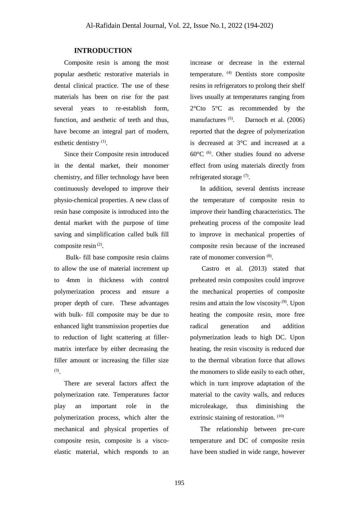# **INTRODUCTION**

 Composite resin is among the most popular aesthetic restorative materials in dental clinical practice. The use of these materials has been on rise for the past several years to re-establish form, function, and aesthetic of teeth and thus, have become an integral part of modern, esthetic dentistry<sup>(1)</sup>.

 Since their Composite resin introduced in the dental market, their monomer chemistry, and filler technology have been continuously developed to improve their physio-chemical properties. A new class of resin base composite is introduced into the dental market with the purpose of time saving and simplification called bulk fill composite resin<sup>(2)</sup>.

 Bulk- fill base composite resin claims to allow the use of material increment up to 4mm in thickness with control polymerization process and ensure a proper depth of cure. These advantages with bulk- fill composite may be due to enhanced light transmission properties due to reduction of light scattering at fillermatrix interface by either decreasing the filler amount or increasing the filler size (3) .

 There are several factors affect the polymerization rate. Temperatures factor play an important role in the polymerization process, which alter the mechanical and physical properties of composite resin, composite is a viscoelastic material, which responds to an increase or decrease in the external temperature. (4) Dentists store composite resins in refrigerators to prolong their shelf lives usually at temperatures ranging from 2°Cto 5°C as recommended by the manufactures <sup>(5)</sup>. Darnoch et al. (2006) reported that the degree of polymerization is decreased at 3°C and increased at a  $60^{\circ}$ C <sup>(6)</sup>. Other studies found no adverse effect from using materials directly from refrigerated storage<sup>(7)</sup>.

 In addition, several dentists increase the temperature of composite resin to improve their handling characteristics. The preheating process of the composite lead to improve in mechanical properties of composite resin because of the increased rate of monomer conversion  $(8)$ .

 Castro et al. (2013) stated that preheated resin composites could improve the mechanical properties of composite resins and attain the low viscosity $(9)$ . Upon heating the composite resin, more free radical generation and addition polymerization leads to high DC. Upon heating, the resin viscosity is reduced due to the thermal vibration force that allows the monomers to slide easily to each other, which in turn improve adaptation of the material to the cavity walls, and reduces microleakage, thus diminishing the extrinsic staining of restoration. (10)

 The relationship between pre-cure temperature and DC of composite resin have been studied in wide range, however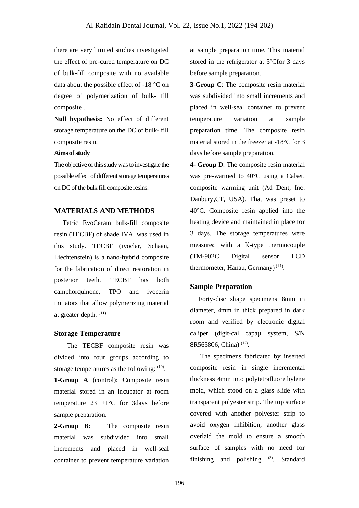there are very limited studies investigated the effect of pre-cured temperature on DC of bulk-fill composite with no available data about the possible effect of -18 °C on degree of polymerization of bulk- fill composite .

**Null hypothesis:** No effect of different storage temperature on the DC of bulk- fill composite resin.

#### **Aims of study**

The objective of this study was to investigate the possible effect of different storage temperatures on DC of the bulk fill composite resins.

# **MATERIALS AND METHODS**

 Tetric EvoCeram bulk-fill composite resin (TECBF) of shade IVA, was used in this study. TECBF (ivoclar, Schaan, Liechtenstein) is a nano-hybrid composite for the fabrication of direct restoration in posterior teeth. TECBF has both camphorquinone, TPO and ivocerin initiators that allow polymerizing material at greater depth. (11)

# **Storage Temperature**

The TECBF composite resin was divided into four groups according to storage temperatures as the following:  $(10)$ . **1-Group A** (control): Composite resin material stored in an incubator at room temperature 23  $\pm$ 1°C for 3days before sample preparation.

**2-Group B:** The composite resin material was subdivided into small increments and placed in well-seal container to prevent temperature variation

at sample preparation time. This material stored in the refrigerator at 5°Cfor 3 days before sample preparation.

**3**-**Group C**: The composite resin material was subdivided into small increments and placed in well-seal container to prevent temperature variation at sample preparation time. The composite resin material stored in the freezer at -18°C for 3 days before sample preparation.

**4- Group D**: The composite resin material was pre-warmed to 40°C using a Calset, composite warming unit (Ad Dent, Inc. Danbury,CT, USA). That was preset to 40°C. Composite resin applied into the heating device and maintained in place for 3 days. The storage temperatures were measured with a K-type thermocouple (TM-902C Digital sensor LCD thermometer, Hanau, Germany)<sup>(11)</sup>.

# **Sample Preparation**

Forty-disc shape specimens 8mm in diameter, 4mm in thick prepared in dark room and verified by electronic digital caliper (digit-cal capau system, S/N 8R565806, China)<sup>(12)</sup>.

 The specimens fabricated by inserted composite resin in single incremental thickness 4mm into polytetrafluorethylene mold, which stood on a glass slide with transparent polyester strip. The top surface covered with another polyester strip to avoid oxygen inhibition, another glass overlaid the mold to ensure a smooth surface of samples with no need for finishing and polishing  $(3)$ . Standard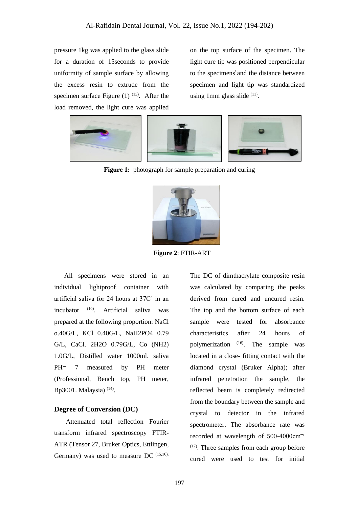pressure 1kg was applied to the glass slide for a duration of 15seconds to provide uniformity of sample surface by allowing the excess resin to extrude from the specimen surface Figure  $(1)$   $(13)$ . After the load removed, the light cure was applied on the top surface of the specimen. The light cure tip was positioned perpendicular to the specimens̕ and the distance between specimen and light tip was standardized using 1mm glass slide <sup>(11)</sup>.



**Figure 1:** photograph for sample preparation and curing



 **Figure 2**: FTIR-ART

 All specimens were stored in an individual lightproof container with artificial saliva for 24 hours at 37C˚ in an incubator (10). Artificial saliva was prepared at the following proportion: NaCl o.40G/L, KCl 0.40G/L, NaH2PO4 0.79 G/L, CaCl. 2H2O 0.79G/L, Co (NH2) 1.0G/L, Distilled water 1000ml. saliva PH= 7 measured by PH meter (Professional, Bench top, PH meter, Bp3001. Malaysia)<sup>(14)</sup>.

# **Degree of Conversion (DC)**

 Attenuated total reflection Fourier transform infrared spectroscopy FTIR-ATR (Tensor 27, Bruker Optics, Ettlingen, Germany) was used to measure DC (15,16).

The DC of dimthacrylate composite resin was calculated by comparing the peaks derived from cured and uncured resin. The top and the bottom surface of each sample were tested for absorbance characteristics after 24 hours of polymerization <sup>(16)</sup>. The sample was located in a close- fitting contact with the diamond crystal (Bruker Alpha); after infrared penetration the sample, the reflected beam is completely redirected from the boundary between the sample and crystal to detector in the infrared spectrometer. The absorbance rate was recorded at wavelength of  $500-4000$ cm<sup>-1</sup> (17) . Three samples from each group before cured were used to test for initial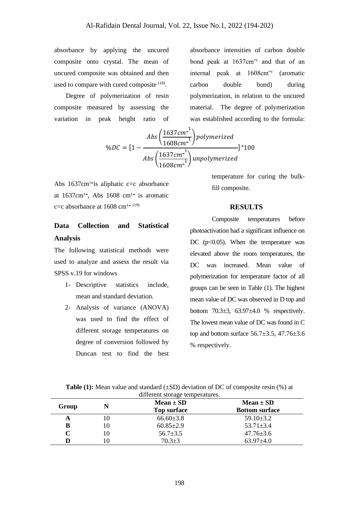absorbance by applying the uncured composite onto crystal. The mean of uncured composite was obtained and then used to compare with cured composite <sup>(18)</sup>.

 Degree of polymerization of resin composite measured by assessing the variation in peak height ratio of absorbance intensities of carbon double bond peak at  $1637 \text{cm}^{-1}$  and that of an internal peak at  $1608 \text{cm}^{-1}$  (aromatic carbon double bond) during polymerization, in relation to the uncured material. The degree of polymerization was established according to the formula:

$$
\%DC = \left[1 - \frac{Abs\left(\frac{1637cm^{-1}}{1608cm^{-1}}\right)polymerized}{Abs\left(\frac{1637cm^{-1}}{1608cm^{-1}}\right)unpolymerized}\right]^{\times}100
$$

Abs  $1637 \text{cm}^1$ -is aliphatic c=c absorbance at  $1637$ cm<sup>1</sup>, Abs  $1608$  cm<sup>1</sup> is aromatic c=c absorbance at  $1608$  cm<sup>1-(19)</sup>

# **Data Collection and Statistical Analysis**

The following statistical methods were used to analyze and assess the result via SPSS v.19 for windows

- 1- Descriptive statistics include, mean and standard deviation.
- 2- Analysis of variance (ANOVA) was used to find the effect of different storage temperatures on degree of conversion followed by Duncan test to find the best

temperature for curing the bulkfill composite.

#### **RESULTS**

Composite temperatures before photoactivation had a significant influence on DC  $(p<0.05)$ . When the temperature was elevated above the room temperatures, the DC was increased. Mean value of polymerization for temperature factor of all groups can be seen in Table (1). The highest mean value of DC was observed in D top and bottom  $70.3\pm3$ ,  $63.97\pm4.0$  % respectively. The lowest mean value of DC was found in C top and bottom surface  $56.7\pm3.5$ ,  $47.76\pm3.6$ % respectively.

| different storage temperatures. |    |                    |                       |  |
|---------------------------------|----|--------------------|-----------------------|--|
|                                 | N  | $Mean \pm SD$      | $Mean \pm SD$         |  |
| Group                           |    | <b>Top surface</b> | <b>Bottom surface</b> |  |
| A                               | 10 | $66.60 \pm 3.8$    | $59.10 \pm 3.2$       |  |
| в                               | 10 | $60.85 \pm 2.9$    | $53.71 \pm 3.4$       |  |
|                                 | 10 | $56.7 \pm 3.5$     | $47.76 \pm 3.6$       |  |
|                                 | 10 | $70.3 \pm 3$       | $63.97 \pm 4.0$       |  |

**Table (1):** Mean value and standard ( $\pm SD$ ) deviation of DC of composite resin (%) at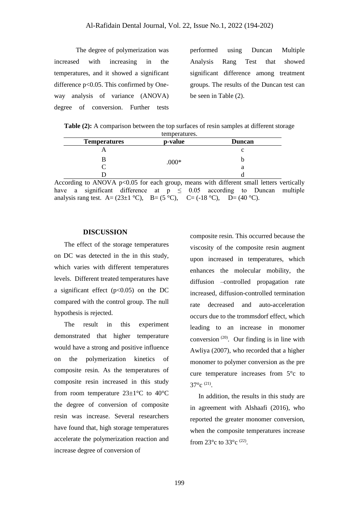The degree of polymerization was increased with increasing in the temperatures, and it showed a significant difference p<0.05. This confirmed by Oneway analysis of variance (ANOVA) degree of conversion. Further tests

performed using Duncan Multiple Analysis Rang Test that showed significant difference among treatment groups. The results of the Duncan test can be seen in Table (2).

**Table (2):** A comparison between the top surfaces of resin samples at different storage temperatures.

| <b>Temperatures</b> | p-value | <b>Duncan</b> |
|---------------------|---------|---------------|
|                     |         |               |
|                     | $.000*$ |               |
|                     |         | а             |
|                     |         |               |

According to ANOVA p<0.05 for each group, means with different small letters vertically have a significant difference at  $p \leq 0.05$  according to Duncan multiple analysis rang test. A=  $(23\pm1 °C)$ , B=  $(5 °C)$ , C=  $(-18 °C)$ , D=  $(40 °C)$ .

#### **DISCUSSION**

 The effect of the storage temperatures on DC was detected in the in this study, which varies with different temperatures levels. Different treated temperatures have a significant effect  $(p<0.05)$  on the DC compared with the control group. The null hypothesis is rejected.

 The result in this experiment demonstrated that higher temperature would have a strong and positive influence on the polymerization kinetics of composite resin. As the temperatures of composite resin increased in this study from room temperature  $23\pm1\,^{\circ}\text{C}$  to  $40^{\circ}\text{C}$ the degree of conversion of composite resin was increase. Several researchers have found that, high storage temperatures accelerate the polymerization reaction and increase degree of conversion of

composite resin. This occurred because the viscosity of the composite resin augment upon increased in temperatures, which enhances the molecular mobility, the diffusion –controlled propagation rate increased, diffusion-controlled termination rate decreased and auto-acceleration occurs due to the trommsdorf effect, which leading to an increase in monomer conversion  $(20)$ . Our finding is in line with Awliya (2007), who recorded that a higher monomer to polymer conversion as the pre cure temperature increases from 5°c to  $37^{\circ}$ c  $^{(21)}$ .

 In addition, the results in this study are in agreement with Alshaafi (2016), who reported the greater monomer conversion, when the composite temperatures increase from  $23^{\circ}$ c to  $33^{\circ}$ c <sup>(22)</sup>.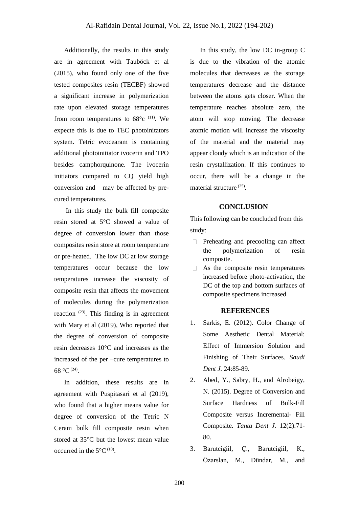Additionally, the results in this study are in agreement with Tauböck et al (2015), who found only one of the five tested composites resin (TECBF) showed a significant increase in polymerization rate upon elevated storage temperatures from room temperatures to  $68^{\circ}$ c <sup>(11)</sup>. We expecte this is due to TEC photoinitators system. Tetric evocearam is containing additional photoinitiator ivocerin and TPO besides camphorquinone. The ivocerin initiators compared to CQ yield high conversion and may be affected by precured temperatures.

 In this study the bulk fill composite resin stored at 5°C showed a value of degree of conversion lower than those composites resin store at room temperature or pre-heated. The low DC at low storage temperatures occur because the low temperatures increase the viscosity of composite resin that affects the movement of molecules during the polymerization reaction  $(23)$ . This finding is in agreement with Mary et al (2019), Who reported that the degree of conversion of composite resin decreases 10°C and increases as the increased of the per –cure temperatures to 68 °C  $(24)$ .

 In addition, these results are in agreement with Puspitasari et al (2019), who found that a higher means value for degree of conversion of the Tetric N Ceram bulk fill composite resin when stored at 35°C but the lowest mean value occurred in the  $5^{\circ}$ C<sup>(10)</sup>.

 In this study, the low DC in-group C is due to the vibration of the atomic molecules that decreases as the storage temperatures decrease and the distance between the atoms gets closer. When the temperature reaches absolute zero, the atom will stop moving. The decrease atomic motion will increase the viscosity of the material and the material may appear cloudy which is an indication of the resin crystallization. If this continues to occur, there will be a change in the material structure<sup>(25)</sup>.

# **CONCLUSION**

This following can be concluded from this study:

- $\Box$  Preheating and precooling can affect the polymerization of resin composite.
- $\Box$  As the composite resin temperatures increased before photo-activation, the DC of the top and bottom surfaces of composite specimens increased .

# **REFERENCES**

- 1. Sarkis, E. (2012). Color Change of Some Aesthetic Dental Material: Effect of Immersion Solution and Finishing of Their Surfaces*. Saudi Dent J.* 24:85-89.
- 2. Abed, Y., Sabry, H., and Alrobeigy, N. (2015). Degree of Conversion and Surface Hardness of Bulk-Fill Composite versus Incremental- Fill Composite*. Tanta Dent J.* 12(2):71- 80.
- 3. Barutcigiil, Ҫ., Barutcigiil, K., Özarslan, M., Dündar, M., and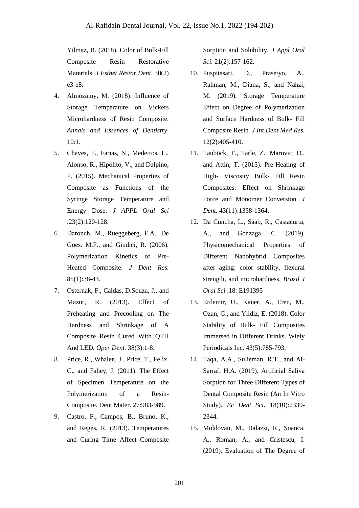Yilmaz, B. (2018). Color of Bulk-Fill Composite Resin Restorative Materials. *J Esthet Restor Dent*. 30(2) e3-e8.

- 4. Almozainy, M. (2018). Influence of Storage Temperature on Vickers Microhardness of Resin Composite. *Annals and Essences of Dentistry*. 10:1.
- 5. Chaves, F., Farias, N., Medeiros, L., Alonso, R., Hipólito, V., and D̕alpino, P. (2015). Mechanical Properties of Composite as Functions of the Syringe Storage Temperature and Energy Dose. *J APPL Oral Sci* .23(2):120-128.
- 6. Daronch, M., Rueggeberg, F.A., De Goes. M.F., and Giudici, R. (2006). Polymerization Kinetics of Pre-Heated Composite. *J Dent Res.* 85(1):38-43.
- 7. Osternak, F., Caldas, D.Souza, J., and Mazur, R. (2013). Effect of Preheating and Precooling on The Hardness and Shrinkage of A Composite Resin Cured With QTH And LED*. Oper Dent.* 38(3):1-8.
- 8. Price, R., Whalen, J., Price, T., Felix, C., and Fahey, J. (2011). The Effect of Specimen Temperature on the Polymerization of a Resin-Composite. Dent Mater. 27:983-989.
- 9. Castro, F., Campos, B., Bruno, K., and Reges, R. (2013). Temperatures and Curing Time Affect Composite

Sorption and Solubility*. J Appl Oral Sci.* 21(2):157-162.

- 10. Puspitasari, D., Prasetyo, A., Rahman, M., Diana, S., and Nahzi, M. (2019). Storage Temperature Effect on Degree of Polymerization and Surface Hardness of Bulk- Fill Composite Resin*. J Int Dent Med Res.* 12(2):405-410.
- 11. Tauböck, T., Tarle, Z., Marovic, D., and Attin, T. (2015). Pre-Heating of High- Viscosity Bulk- Fill Resin Composites: Effect on Shrinkage Force and Monomer Conversion. *J Dent.* 43(11):1358-1364.
- 12. Da Cuncha, L., Saab, R., Castacurta, A., and Gonzaga, C. (2019). Physicomechanical Properties of Different Nanohybrid Composites after aging: color stability, flexural strength, and microhardness. *Brazil J Oral Sci* .18: E191395
- 13. Erdemir, U., Kaner, A., Eren, M., Ozan, G., and Yildiz, E. (2018). Color Stability of Bulk- Fill Composites Immersed in Different Drinks. Wiely Periodicals Inc. 43(5):785-793.
- 14. Taqa, A.A., Sulieman, R.T., and Al-Sarraf, H.A. (2019). Artificial Saliva Sorption for Three Different Types of Dental Composite Resin (An In Vitro Study). *Ec Dent Sci.* 18(10):2339- 2344.
- 15. Moldovan, M., Balazsi, R., Soanca, A., Roman, A., and Cristescu, I. (2019). Evaluation of The Degree of